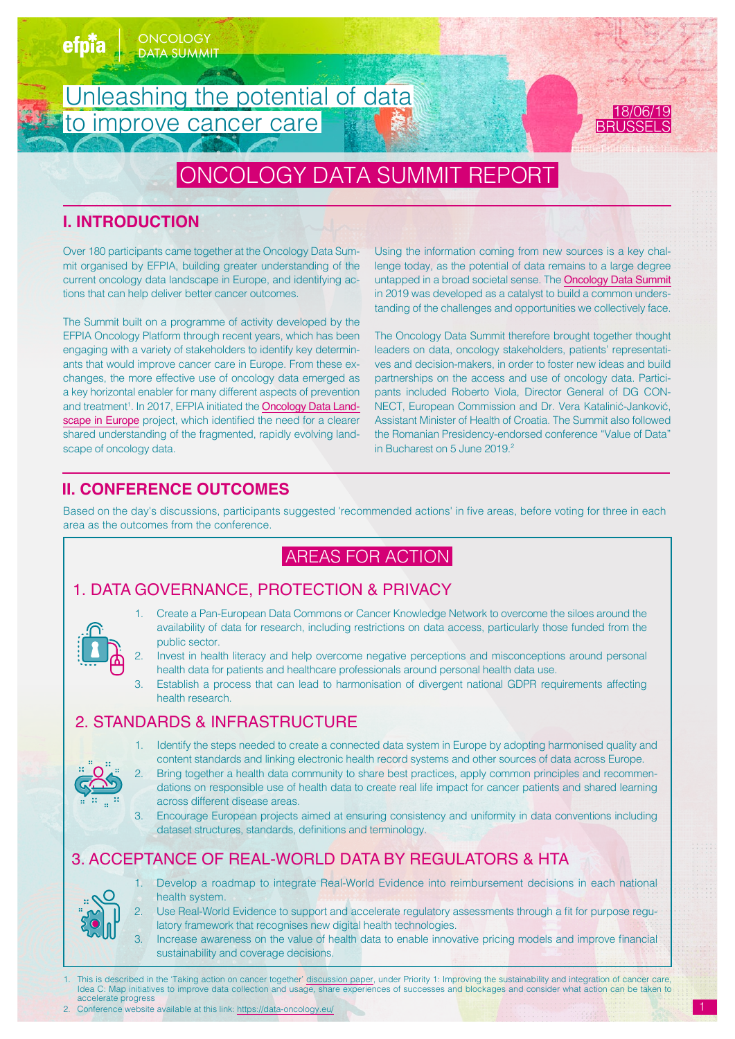

# **I. INTRODUCTION**

Over 180 participants came together at the Oncology Data Summit organised by EFPIA, building greater understanding of the current oncology data landscape in Europe, and identifying actions that can help deliver better cancer outcomes.

The Summit built on a programme of activity developed by the EFPIA Oncology Platform through recent years, which has been engaging with a variety of stakeholders to identify key determinants that would improve cancer care in Europe. From these exchanges, the more effective use of oncology data emerged as a key horizontal enabler for many different aspects of prevention and treatment<sup>1</sup>. In 2017, EFPIA initiated the **[Oncology Data Land](https://www.efpia.eu/media/412192/efpia-onco-data-landscape-1-report.pdf)**[scape in Europe](https://www.efpia.eu/media/412192/efpia-onco-data-landscape-1-report.pdf) project, which identified the need for a clearer shared understanding of the fragmented, rapidly evolving landscape of oncology data.

Using the information coming from new sources is a key challenge today, as the potential of data remains to a large degree untapped in a broad societal sense. The [Oncology Data Summit](https://www.efpia.eu/news-events/events/efpia-event/efpia-oncology-data-summit-unleashing-the-potential-of-data-to-improve-cancer-care/) in 2019 was developed as a catalyst to build a common understanding of the challenges and opportunities we collectively face.

The Oncology Data Summit therefore brought together thought leaders on data, oncology stakeholders, patients' representatives and decision-makers, in order to foster new ideas and build partnerships on the access and use of oncology data. Participants included Roberto Viola, Director General of DG CON-NECT, European Commission and Dr. Vera Katalinić-Janković, Assistant Minister of Health of Croatia. The Summit also followed the Romanian Presidency-endorsed conference "Value of Data" in Bucharest on 5 June 2019.<sup>2</sup>

# **II. CONFERENCE OUTCOMES**

Based on the day's discussions, participants suggested 'recommended actions' in five areas, before voting for three in each area as the outcomes from the conference.

# AREAS FOR ACTION

# 1. DATA GOVERNANCE, PROTECTION & PRIVACY



- 1. Create a Pan-European Data Commons or Cancer Knowledge Network to overcome the siloes around the availability of data for research, including restrictions on data access, particularly those funded from the public sector.
- 2. Invest in health literacy and help overcome negative perceptions and misconceptions around personal health data for patients and healthcare professionals around personal health data use.
- 3. Establish a process that can lead to harmonisation of divergent national GDPR requirements affecting health research.

# 2. STANDARDS & INFRASTRUCTURE



- 1. Identify the steps needed to create a connected data system in Europe by adopting harmonised quality and content standards and linking electronic health record systems and other sources of data across Europe.
	- Bring together a health data community to share best practices, apply common principles and recommendations on responsible use of health data to create real life impact for cancer patients and shared learning across different disease areas.
- 3. Encourage European projects aimed at ensuring consistency and uniformity in data conventions including dataset structures, standards, definitions and terminology.

# 3. ACCEPTANCE OF REAL-WORLD DATA BY REGULATORS & HTA



- Develop a roadmap to integrate Real-World Evidence into reimbursement decisions in each national health system.
- Use Real-World Evidence to support and accelerate regulatory assessments through a fit for purpose regulatory framework that recognises new digital health technologies.
- Increase awareness on the value of health data to enable innovative pricing models and improve financial sustainability and coverage decisions.
- 1. This is described in the 'Taking action on cancer together' [discussion paper](https://www.efpia.eu/media/412203/taking-action-on-cancer-together-delivering-the-future-of-cancer-medicines-in-europe.pdf), under Priority 1: Improving the sustainability and integration of cancer care,<br>Idea C: Map initiatives to improve data collection and usage, accelerate progress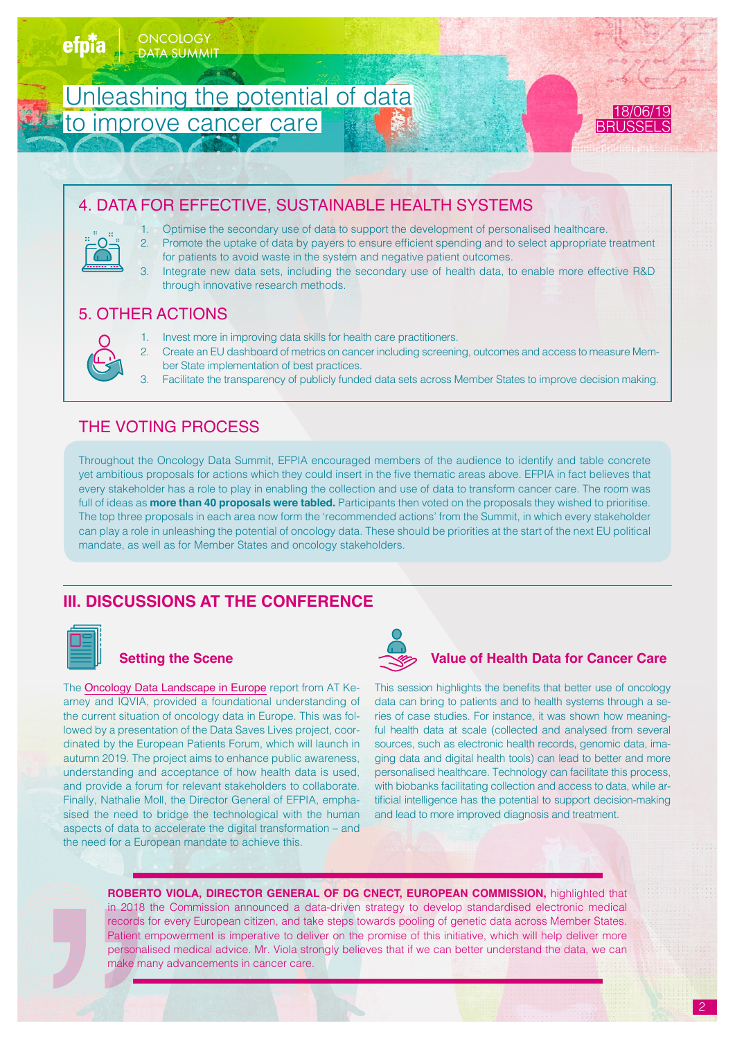

# 4. DATA FOR EFFECTIVE, SUSTAINABLE HEALTH SYSTEMS

- 1. Optimise the secondary use of data to support the development of personalised healthcare.
	- 2. Promote the uptake of data by payers to ensure efficient spending and to select appropriate treatment for patients to avoid waste in the system and negative patient outcomes.
	- Integrate new data sets, including the secondary use of health data, to enable more effective R&D through innovative research methods.

# 5. OTHER ACTIONS

- 1. Invest more in improving data skills for health care practitioners.
- 2. Create an EU dashboard of metrics on cancer including screening, outcomes and access to measure Member State implementation of best practices.
- 3. Facilitate the transparency of publicly funded data sets across Member States to improve decision making.

# THE VOTING PROCESS

Throughout the Oncology Data Summit, EFPIA encouraged members of the audience to identify and table concrete yet ambitious proposals for actions which they could insert in the five thematic areas above. EFPIA in fact believes that every stakeholder has a role to play in enabling the collection and use of data to transform cancer care. The room was full of ideas as **more than 40 proposals were tabled.** Participants then voted on the proposals they wished to prioritise. The top three proposals in each area now form the 'recommended actions' from the Summit, in which every stakeholder can play a role in unleashing the potential of oncology data. These should be priorities at the start of the next EU political mandate, as well as for Member States and oncology stakeholders.

# **III. DISCUSSIONS AT THE CONFERENCE**

## **Setting the Scene**

The [Oncology Data Landscape in Europe](http://Oncology Data Landscape in Europe) report from AT Kearney and IQVIA, provided a foundational understanding of the current situation of oncology data in Europe. This was followed by a presentation of the Data Saves Lives project, coordinated by the European Patients Forum, which will launch in autumn 2019. The project aims to enhance public awareness, understanding and acceptance of how health data is used, and provide a forum for relevant stakeholders to collaborate. Finally, Nathalie Moll, the Director General of EFPIA, emphasised the need to bridge the technological with the human aspects of data to accelerate the digital transformation – and the need for a European mandate to achieve this.



## **Value of Health Data for Cancer Care**

This session highlights the benefits that better use of oncology data can bring to patients and to health systems through a series of case studies. For instance, it was shown how meaningful health data at scale (collected and analysed from several sources, such as electronic health records, genomic data, imaging data and digital health tools) can lead to better and more personalised healthcare. Technology can facilitate this process, with biobanks facilitating collection and access to data, while artificial intelligence has the potential to support decision-making and lead to more improved diagnosis and treatment.

**ROBERTO VIOLA, DIRECTOR GENERAL OF DG CNECT, EUROPEAN COMMISSION,** highlighted that in 2018 the Commission announced a data-driven strategy to develop standardised electronic medical records for every European citizen, and take steps towards pooling of genetic data across Member States. Patient empowerment is imperative to deliver on the promise of this initiative, which will help deliver more personalised medical advice. Mr. Viola strongly believes that if we can better understand the data, we can make many advancements in cancer care.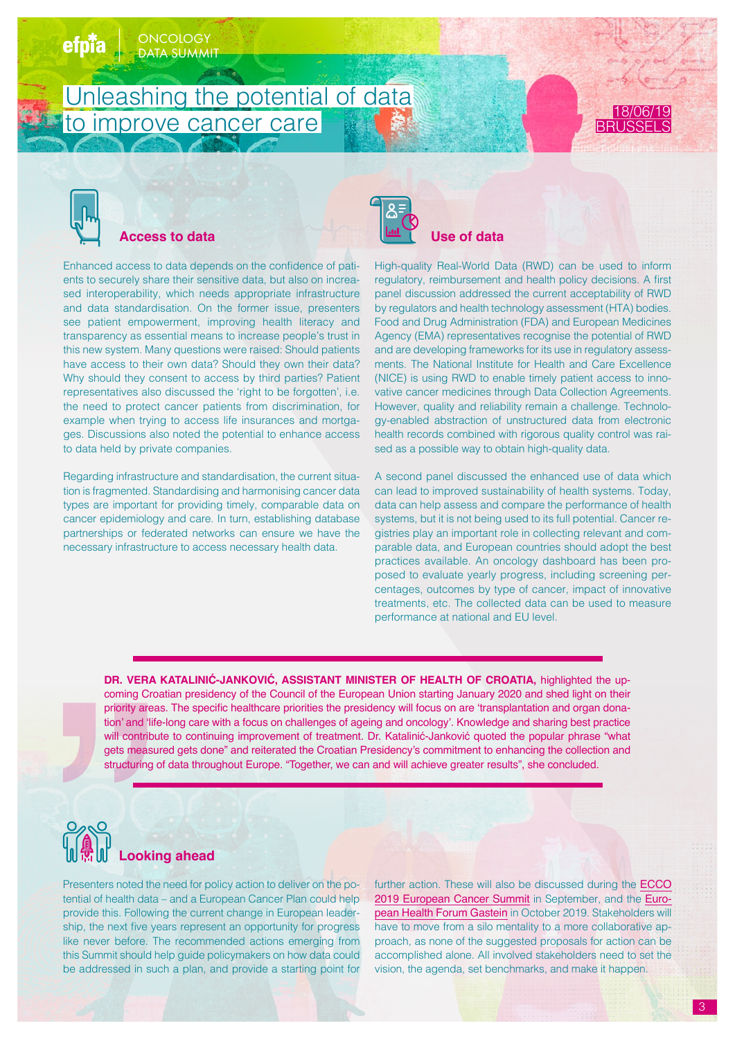# Unleashing the potential of data to improve cancer care





## **Access to data**

ONCOLOGY DATA SUMMI

Enhanced access to data depends on the confidence of patients to securely share their sensitive data, but also on increased interoperability, which needs appropriate infrastructure and data standardisation. On the former issue, presenters see patient empowerment, improving health literacy and transparency as essential means to increase people's trust in this new system. Many questions were raised: Should patients have access to their own data? Should they own their data? Why should they consent to access by third parties? Patient representatives also discussed the 'right to be forgotten', i.e. the need to protect cancer patients from discrimination, for example when trying to access life insurances and mortgages. Discussions also noted the potential to enhance access to data held by private companies.

Regarding infrastructure and standardisation, the current situation is fragmented. Standardising and harmonising cancer data types are important for providing timely, comparable data on cancer epidemiology and care. In turn, establishing database partnerships or federated networks can ensure we have the necessary infrastructure to access necessary health data.



High-quality Real-World Data (RWD) can be used to inform regulatory, reimbursement and health policy decisions. A first panel discussion addressed the current acceptability of RWD by regulators and health technology assessment (HTA) bodies. Food and Drug Administration (FDA) and European Medicines Agency (EMA) representatives recognise the potential of RWD and are developing frameworks for its use in regulatory assessments. The National Institute for Health and Care Excellence (NICE) is using RWD to enable timely patient access to innovative cancer medicines through Data Collection Agreements. However, quality and reliability remain a challenge. Technology-enabled abstraction of unstructured data from electronic health records combined with rigorous quality control was raised as a possible way to obtain high-quality data.

A second panel discussed the enhanced use of data which can lead to improved sustainability of health systems. Today, data can help assess and compare the performance of health systems, but it is not being used to its full potential. Cancer registries play an important role in collecting relevant and comparable data, and European countries should adopt the best practices available. An oncology dashboard has been proposed to evaluate yearly progress, including screening percentages, outcomes by type of cancer, impact of innovative treatments, etc. The collected data can be used to measure performance at national and EU level.

**DR. VERA KATALINIĆ-JANKOVIĆ, ASSISTANT MINISTER OF HEALTH OF CROATIA,** highlighted the upcoming Croatian presidency of the Council of the European Union starting January 2020 and shed light on their priority areas. The specific healthcare priorities the presidency will focus on are 'transplantation and organ donation' and 'life-long care with a focus on challenges of ageing and oncology'. Knowledge and sharing best practice will contribute to continuing improvement of treatment. Dr. Katalinić-Janković quoted the popular phrase "what gets measured gets done" and reiterated the Croatian Presidency's commitment to enhancing the collection and structuring of data throughout Europe. "Together, we can and will achieve greater results", she concluded.



Presenters noted the need for policy action to deliver on the potential of health data – and a European Cancer Plan could help provide this. Following the current change in European leadership, the next five years represent an opportunity for progress like never before. The recommended actions emerging from this Summit should help guide policymakers on how data could be addressed in such a plan, and provide a starting point for

further action. These will also be discussed during the [ECCO](https://www.eccosummit.eu/Summit) [2019 European Cancer Summit](https://www.eccosummit.eu/Summit) in September, and the [Euro](https://www.ehfg.org/)[pean Health Forum Gastein](https://www.ehfg.org/) in October 2019. Stakeholders will have to move from a silo mentality to a more collaborative approach, as none of the suggested proposals for action can be accomplished alone. All involved stakeholders need to set the vision, the agenda, set benchmarks, and make it happen.